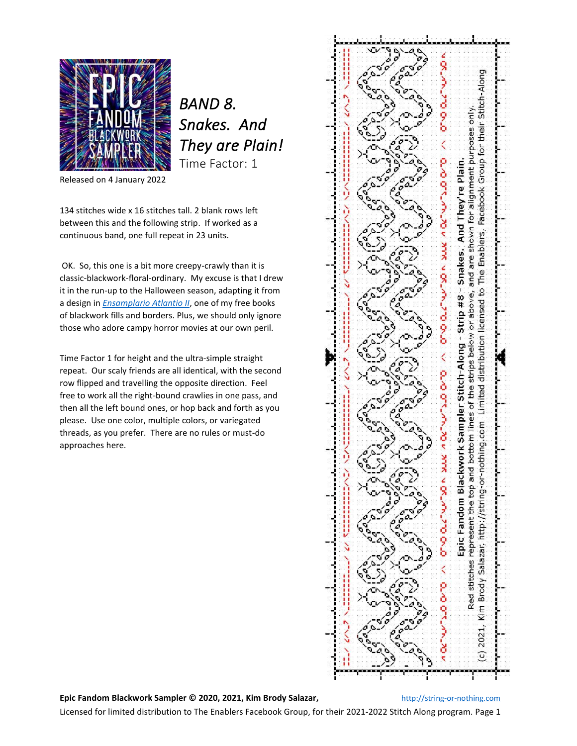

*BAND 8. Snakes. And They are Plain!*  Time Factor: 1

Released on 4 January 2022

134 stitches wide x 16 stitches tall. 2 blank rows left between this and the following strip. If worked as a continuous band, one full repeat in 23 units.

OK. So, this one is a bit more creepy-crawly than it is classic-blackwork-floral-ordinary. My excuse is that I drew it in the run-up to the Halloween season, adapting it from a design in *[Ensamplario Atlantio II](https://string-or-nothing.com/2020/01/15/ensamplario-atlantio-ii/)*, one of my free books of blackwork fills and borders. Plus, we should only ignore those who adore campy horror movies at our own peril.

Time Factor 1 for height and the ultra-simple straight repeat. Our scaly friends are all identical, with the second row flipped and travelling the opposite direction. Feel free to work all the right-bound crawlies in one pass, and then all the left bound ones, or hop back and forth as you please. Use one color, multiple colors, or variegated threads, as you prefer. There are no rules or must-do approaches here.



**Epic Fandom Blackwork Sampler © 2020, 2021, Kim Brody Salazar,** [http://string-or-nothing.com](http://string-or-nothing.com/)

Licensed for limited distribution to The Enablers Facebook Group, for their 2021-2022 Stitch Along program. Page 1